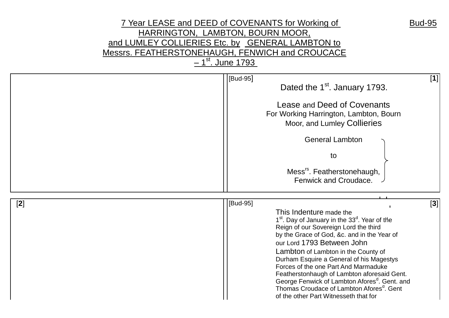## 7 Year LEASE and DEED of COVENANTS for Working of Bud-95 HARRINGTON, LAMBTON, BOURN MOOR, and LUMLEY COLLIERIES Etc. by GENERAL LAMBTON to Messrs. FEATHERSTONEHAUGH, FENWICH and CROUCACE <u>– 1<sup>st</sup>. June 1793 </u>

|       | [Bud-95]<br>Dated the 1 <sup>st</sup> . January 1793.<br>Lease and Deed of Covenants<br>For Working Harrington, Lambton, Bourn<br>Moor, and Lumley Collieries<br><b>General Lambton</b><br>to<br>Mess <sup>rs</sup> . Featherstonehaugh,<br>Fenwick and Croudace.                                                                                                                                                                                                                                                                                                           | $[1]$ |
|-------|-----------------------------------------------------------------------------------------------------------------------------------------------------------------------------------------------------------------------------------------------------------------------------------------------------------------------------------------------------------------------------------------------------------------------------------------------------------------------------------------------------------------------------------------------------------------------------|-------|
| $[2]$ | [Bud-95]<br>This Indenture made the<br>1 <sup>st</sup> . Day of January in the 33 <sup>d</sup> . Year of the<br>Reign of our Sovereign Lord the third<br>by the Grace of God, &c. and in the Year of<br>our Lord 1793 Between John<br>Lambton of Lambton in the County of<br>Durham Esquire a General of his Magestys<br>Forces of the one Part And Marmaduke<br>Featherstonhaugh of Lambton aforesaid Gent.<br>George Fenwick of Lambton Afores <sup>d</sup> . Gent. and<br>Thomas Croudace of Lambton Afores <sup>d</sup> . Gent<br>of the other Part Witnesseth that for | $[3]$ |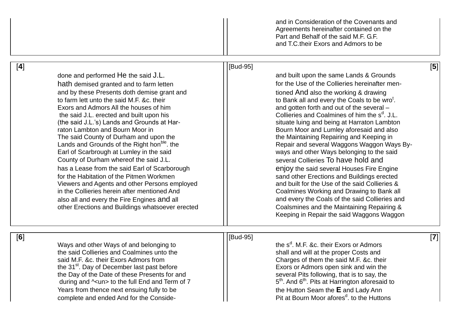|     |                                                                                                                                                                                                                                                                                                                                                                                                                                                                                                                                                                                                                                                                                                                                                                                                                                                |          | and in Consideration of the Covenants and<br>Agreements hereinafter contained on the<br>Part and Behalf of the said M.F. G.F.<br>and T.C. their Exors and Admors to be                                                                                                                                                                                                                                                                                                                                                                                                                                                                                                                                                                                                                                                                                                                                                   |       |
|-----|------------------------------------------------------------------------------------------------------------------------------------------------------------------------------------------------------------------------------------------------------------------------------------------------------------------------------------------------------------------------------------------------------------------------------------------------------------------------------------------------------------------------------------------------------------------------------------------------------------------------------------------------------------------------------------------------------------------------------------------------------------------------------------------------------------------------------------------------|----------|--------------------------------------------------------------------------------------------------------------------------------------------------------------------------------------------------------------------------------------------------------------------------------------------------------------------------------------------------------------------------------------------------------------------------------------------------------------------------------------------------------------------------------------------------------------------------------------------------------------------------------------------------------------------------------------------------------------------------------------------------------------------------------------------------------------------------------------------------------------------------------------------------------------------------|-------|
| [4] | done and performed He the said J.L.<br>hath demised granted and to farm letten<br>and by these Presents doth demise grant and<br>to farm lett unto the said M.F. &c. their<br>Exors and Admors All the houses of him<br>the said J.L. erected and built upon his<br>(the said J.L.'s) Lands and Grounds at Har-<br>raton Lambton and Bourn Moor in<br>The said County of Durham and upon the<br>Lands and Grounds of the Right hon <sup>ble</sup> . the<br>Earl of Scarbrough at Lumley in the said<br>County of Durham whereof the said J.L.<br>has a Lease from the said Earl of Scarborough<br>for the Habitation of the Pitmen Workmen<br>Viewers and Agents and other Persons employed<br>in the Collieries herein after mentioned And<br>also all and every the Fire Engines and all<br>other Erections and Buildings whatsoever erected | [Bud-95] | and built upon the same Lands & Grounds<br>for the Use of the Collieries hereinafter men-<br>tioned And also the working & drawing<br>to Bank all and every the Coals to be wro <sup>t</sup> .<br>and gotten forth and out of the several -<br>Collieries and Coalmines of him the s <sup>d</sup> . J.L.<br>situate luing and being at Harraton Lambton<br>Bourn Moor and Lumley aforesaid and also<br>the Maintaining Repairing and Keeping in<br>Repair and several Waggons Waggon Ways By-<br>ways and other Ways belonging to the said<br>several Collieries To have hold and<br>enjoy the said several Houses Fire Engine<br>sand other Erections and Buildings erected<br>and built for the Use of the said Collieries &<br>Coalmines Working and Drawing to Bank all<br>and every the Coals of the said Collieries and<br>Coalsmines and the Maintaining Repairing &<br>Keeping in Repair the said Waggons Waggon | [5]   |
| [6] | Ways and other Ways of and belonging to<br>the said Collieries and Coalmines unto the<br>said M.F. &c. their Exors Admors from<br>the 31 <sup>st</sup> . Day of December last past before<br>the Day of the Date of these Presents for and<br>during and $\sim$ un> to the full End and Term of 7<br>Years from thence next ensuing fully to be<br>complete and ended And for the Conside-                                                                                                                                                                                                                                                                                                                                                                                                                                                     | [Bud-95] | the s <sup>d</sup> . M.F. &c. their Exors or Admors<br>shall and will at the proper Costs and<br>Charges of them the said M.F. &c. their<br>Exors or Admors open sink and win the<br>several Pits following, that is to say, the<br>5 <sup>th</sup> . And 6 <sup>th</sup> . Pits at Harrington aforesaid to<br>the Hutton Seam the E and Lady Ann<br>Pit at Bourn Moor afores <sup>d</sup> . to the Huttons                                                                                                                                                                                                                                                                                                                                                                                                                                                                                                              | $[7]$ |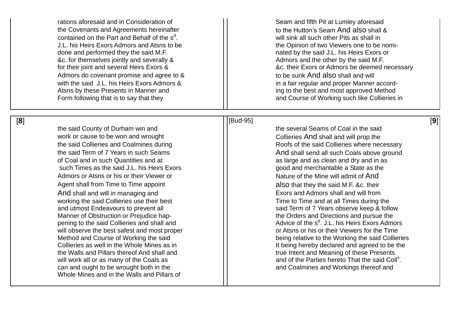rations aforesaid and in Consideration of  $\vert \vert$  Seam and fifth Pit at Lumley aforesaid the Covenants and Agreements hereinafter the to the Hutton's Seam And also shall & contained on the Part and Behalf of the s<sup>d</sup> J.L. his Heirs Exors Admors and Atsns to be the The The Opinion of two Viewers one to be nomidone and performed they the said M.F. 1992 120 mated by the said J.L. his Heirs Exors or &c. for themselves jointly and severally & Admors and the other by the said M.F. Admors do covenant promise and agree to & with the said J.L. his Heirs Exors Admors & in a fair regular and proper Manner accord - Atsns by these Presents in Manner and ing to the best and most approved Method Form following that is to say that they

will sink all such other Pits as shall in for their joint and several Heirs Exors &  $\vert \vert$  &c. their Exors or Admors be deemed necessary to be sunk And also shall and will and Course of Working such like Collieries in

[ **9**]

[ **8**

the said County of Durham win and the several Seams of Coal in the said work or cause to be won and wrought  $\vert \vert$  Collieries And shall and will prop the of Coal and in such Quantities and at as large and as large and as clean and dry and in as such Times as the said J.L. his Heirs Exors **glubber 1** and merchantable a State as the Admors or Atsns or his or their Viewer or Nature of the Mine will admit of And Agent shall from Time to Time appoint also that they the said M.F. &c. their And shall and will in managing and **Exors**  $\vert$  Exors and Admors shall and will from working the said Collieries use their best Time 1 and at all Times during the Time and at all Times during the and utmost Endeavours to prevent all **said Term of 7 Years observe keep & follow** Manner of Obstruction or Prejudice hap pening to the said Collieries and shall and will observe the best safest and most proper **or Atshall contained a container** or Atsns or his or their Viewers for the Time the Walls and Pillars thereof And shall and true Intent and Meaning of these Presents will work all or as many of the Coals as can and ought to be wrought both in the and Coalmines and Workings thereof and Whole Mines and in the Walls and Pillars of

## ][Bud [Bud-95]

the said Collieries and Coalmines during The Roofs of the said Collieries where necessary the said Term of 7 Years in such Seams And Such 2011 And shall send all such Coals above ground the Orders and Directions and pursue the <sup>d</sup>. J.L. his Heirs Exors Admors Method and Course of Working the said **Example 20 I** being relative to the Working the said Collieries Collieries as well in the Whole Mines as in It being hereby declared and agreed to be the s .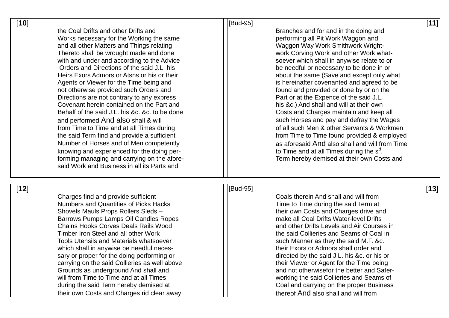| $[10]$ |                                                                                                                                                                                                                                                                                                                                                                                                                                                                                                                                                                                                                                                                                                                                                                                                                                                                                | [Bud-95] |                                                                                                                                                                                                                                                                                                                                                                                                                                                                                                                                                                                                                                                                                                                                                                                                                               | [11]   |
|--------|--------------------------------------------------------------------------------------------------------------------------------------------------------------------------------------------------------------------------------------------------------------------------------------------------------------------------------------------------------------------------------------------------------------------------------------------------------------------------------------------------------------------------------------------------------------------------------------------------------------------------------------------------------------------------------------------------------------------------------------------------------------------------------------------------------------------------------------------------------------------------------|----------|-------------------------------------------------------------------------------------------------------------------------------------------------------------------------------------------------------------------------------------------------------------------------------------------------------------------------------------------------------------------------------------------------------------------------------------------------------------------------------------------------------------------------------------------------------------------------------------------------------------------------------------------------------------------------------------------------------------------------------------------------------------------------------------------------------------------------------|--------|
|        | the Coal Drifts and other Drifts and<br>Works necessary for the Working the same<br>and all other Matters and Things relating<br>Thereto shall be wrought made and done<br>with and under and according to the Advice<br>Orders and Directions of the said J.L. his<br>Heirs Exors Admors or Atsns or his or their<br>Agents or Viewer for the Time being and<br>not otherwise provided such Orders and<br>Directions are not contrary to any express<br>Covenant herein contained on the Part and<br>Behalf of the said J.L. his &c. &c. to be done<br>and performed And also shall & will<br>from Time to Time and at all Times during<br>the said Term find and provide a sufficient<br>Number of Horses and of Men competently<br>knowing and experienced for the doing per-<br>forming managing and carrying on the afore-<br>said Work and Business in all its Parts and |          | Branches and for and in the doing and<br>performing all Pit Work Waggon and<br>Waggon Way Work Smithwork Wright-<br>work Corving Work and other Work what-<br>soever which shall in anywise relate to or<br>be needful or necessary to be done in or<br>about the same (Save and except only what<br>is hereinafter covenanted and agreed to be<br>found and provided or done by or on the<br>Part or at the Expence of the said J.L.<br>his &c.) And shall and will at their own<br>Costs and Charges maintain and keep all<br>such Horses and pay and defray the Wages<br>of all such Men & other Servants & Workmen<br>from Time to Time found provided & employed<br>as aforesaid And also shall and will from Time<br>to Time and at all Times during the s <sup>d</sup> .<br>Term hereby demised at their own Costs and |        |
| $[12]$ | Charges find and provide sufficient<br><b>Numbers and Quantities of Picks Hacks</b><br>Shovels Mauls Props Rollers Sleds -<br>Barrows Pumps Lamps Oil Candles Ropes<br><b>Chains Hooks Corves Deals Rails Wood</b><br>Timber Iron Steel and all other Work<br><b>Tools Utensils and Materials whatsoever</b><br>which shall in anywise be needful neces-<br>sary or proper for the doing performing or<br>carrying on the said Collieries as well above<br>Grounds as underground And shall and<br>will from Time to Time and at all Times<br>during the said Term hereby demised at<br>their own Costs and Charges rid clear away                                                                                                                                                                                                                                             | [Bud-95] | Coals therein And shall and will from<br>Time to Time during the said Term at<br>their own Costs and Charges drive and<br>make all Coal Drifts Water-level Drifts<br>and other Drifts Levels and Air Courses in<br>the said Collieries and Seams of Coal in<br>such Manner as they the said M.F. &c.<br>their Exors or Admors shall order and<br>directed by the said J.L. his &c. or his or<br>their Viewer or Agent for the Time being<br>and not otherwisefor the better and Safer-<br>working the said Collieries and Seams of<br>Coal and carrying on the proper Business<br>thereof And also shall and will from                                                                                                                                                                                                        | $[13]$ |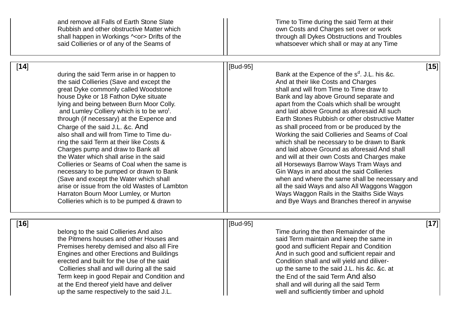|        | and remove all Falls of Earth Stone Slate<br>Rubbish and other obstructive Matter which<br>shall happen in Workings ^ <or> Drifts of the<br/>said Collieries or of any of the Seams of</or>                                                                                                                                                                                                                                                                                                                                                                                                                                                                                                                                                                                                                         |          | Time to Time during the said Term at their<br>own Costs and Charges set over or work<br>through all Dykes Obstructions and Troubles<br>whatsoever which shall or may at any Time                                                                                                                                                                                                                                                                                                                                                                                                                                                                                                                                                                                                                                                                                                 |        |
|--------|---------------------------------------------------------------------------------------------------------------------------------------------------------------------------------------------------------------------------------------------------------------------------------------------------------------------------------------------------------------------------------------------------------------------------------------------------------------------------------------------------------------------------------------------------------------------------------------------------------------------------------------------------------------------------------------------------------------------------------------------------------------------------------------------------------------------|----------|----------------------------------------------------------------------------------------------------------------------------------------------------------------------------------------------------------------------------------------------------------------------------------------------------------------------------------------------------------------------------------------------------------------------------------------------------------------------------------------------------------------------------------------------------------------------------------------------------------------------------------------------------------------------------------------------------------------------------------------------------------------------------------------------------------------------------------------------------------------------------------|--------|
| $[14]$ | during the said Term arise in or happen to<br>the said Collieries (Save and except the<br>great Dyke commonly called Woodstone<br>house Dyke or 18 Fathon Dyke situate<br>lying and being between Burn Moor Colly.<br>and Lumley Colliery which is to be wro <sup>t</sup> .<br>through (if necessary) at the Expence and<br>Charge of the said J.L. & c. And<br>also shall and will from Time to Time du-<br>ring the said Term at their like Costs &<br>Charges pump and draw to Bank all<br>the Water which shall arise in the said<br>Collieries or Seams of Coal when the same is<br>necessary to be pumped or drawn to Bank<br>(Save and except the Water which shall<br>arise or issue from the old Wastes of Lambton<br>Harraton Bourn Moor Lumley, or Murton<br>Collieries which is to be pumped & drawn to | [Bud-95] | Bank at the Expence of the s <sup>d</sup> . J.L. his &c.<br>And at their like Costs and Charges<br>shall and will from Time to Time draw to<br>Bank and lay above Ground separate and<br>apart from the Coals which shall be wrought<br>and laid above Ground as aforesaid All such<br>Earth Stones Rubbish or other obstructive Matter<br>as shall proceed from or be produced by the<br>Working the said Collieries and Seams of Coal<br>which shall be necessary to be drawn to Bank<br>and laid above Ground as aforesaid And shall<br>and will at their own Costs and Charges make<br>all Horseways Barrow Ways Tram Ways and<br>Gin Ways in and about the said Collieries<br>when and where the same shall be necessary and<br>all the said Ways and also All Waggons Waggon<br>Ways Waggon Rails in the Staiths Side Ways<br>and Bye Ways and Branches thereof in anywise | [15]   |
| $[16]$ | belong to the said Collieries And also<br>the Pitmens houses and other Houses and<br>Premises hereby demised and also all Fire<br>Engines and other Erections and Buildings<br>erected and built for the Use of the said<br>Collieries shall and will during all the said<br>Term keep in good Repair and Condition and<br>at the End thereof yield have and deliver<br>up the same respectively to the said J.L.                                                                                                                                                                                                                                                                                                                                                                                                   | [Bud-95] | Time during the then Remainder of the<br>said Term maintain and keep the same in<br>good and sufficient Repair and Condition<br>And in such good and sufficient repair and<br>Condition shall and will yield and diliver-<br>up the same to the said J.L. his &c. &c. at<br>the End of the said Term And also<br>shall and will during all the said Term<br>well and sufficiently timber and uphold                                                                                                                                                                                                                                                                                                                                                                                                                                                                              | $[17]$ |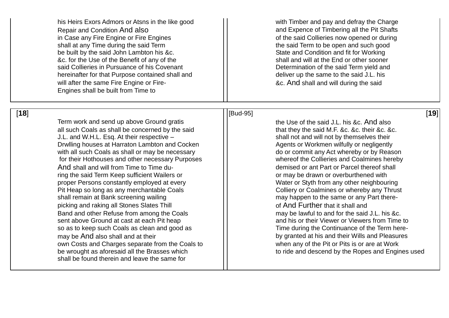his Heirs Exors Admors or Atsns in the like good  $\vert \vert$  with Timber and pay and defray the Charge Repair and Condition And also **and Expence of Timbering all the Pit Shafts** in Case any Fire Engine or Fire Engines **of the said Collieries now opened or during** shall at any Time during the said Term shall at any Time during the said Term to be open and such good be built by the said John Lambton his &c.  $\lvert \cdot \rvert$  State and Condition and fit for Working &c. for the Use of the Benefit of any of the shall and will at the End or other sooner said Collieries in Pursuance of his Covenant Texture and Determination of the said Term yield and hereinafter for that Purpose contained shall and  $\vert$   $\vert$  deliver up the same to the said J.L. his will after the same Fire Engine or Fire- **All Equation 1** and shall and will during the said Engines shall be built from Time to

Term work and send up above Ground gratis Term work and send up above Ground gratis the Use of the Said J.L. his &c. And also all such Coals as shall be concerned by the said  $\vert$   $\vert$  that they the said M.F. &c. &c. their &c. &c. J.L. and W.H.L. Esq. At their respective – shall not and will not by themselves their Drwlling houses at Harraton Lambton and Cocken All Agents or Workmen wilfully or negligently with all such Coals as shall or may be necessary  $\vert \vert$  do or commit any Act whereby or by Reason for their Hothouses and other necessary Purposes whereof the Collieries and Coalmines hereby And shall and will from Time to Time du- **demition of the demised or ant Part or Parcel thereof shall** ring the said Term Keep sufficient Wailers or or may be drawn or overburthened with proper Persons constantly employed at every Mater Music Constantly employed at every Music Constantly employed at every Music Constantly employed at every Music Constantly employed at every Music Constanting Water or Styth Pit Heap so long as any merchantable Coals Fig. Colliery or Coalmines or whereby any Thrust shall remain at Bank screening wailing mass and may happen to the same or any Part therepicking and raking all Stones Slates Thill **Example 20** Thill of And Further that it shall and Band and other Refuse from among the Coals  $\vert \vert$  may be lawful to and for the said J.L. his &c. sent above Ground at cast at each Pit heap and II and his or their Viewer or Viewers from Time to so as to keep such Coals as clean and good as Time during the Continuance of the Term heremay be And also shall and at their **but all contained at his and their Wills and Pleasures** own Costs and Charges separate from the Coals to entity and when any of the Pit or Pits is or are at Work<br>be wrought as aforesaid all the Brasses which to ride and descend by the Ropes and Engir shall be found therein and leave the same for

## [**18**][Bud-95] [**19**]

to ride and descend by the Ropes and Engines used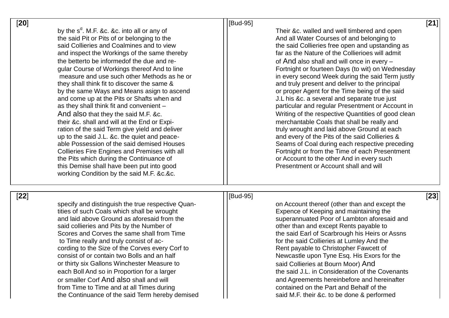| [20] |                                                                                                                                                                                                                                                                                                                                                                                                                                                                                                                                                                                                                                                                                                                                                                                                                                                                                                                                                                | [Bud-95] |                                                                                                                                                                                                                                                                                                                                                                                                                                                                                                                                                                                                                                                                                                                                                                                                                                                                                                                                                              |
|------|----------------------------------------------------------------------------------------------------------------------------------------------------------------------------------------------------------------------------------------------------------------------------------------------------------------------------------------------------------------------------------------------------------------------------------------------------------------------------------------------------------------------------------------------------------------------------------------------------------------------------------------------------------------------------------------------------------------------------------------------------------------------------------------------------------------------------------------------------------------------------------------------------------------------------------------------------------------|----------|--------------------------------------------------------------------------------------------------------------------------------------------------------------------------------------------------------------------------------------------------------------------------------------------------------------------------------------------------------------------------------------------------------------------------------------------------------------------------------------------------------------------------------------------------------------------------------------------------------------------------------------------------------------------------------------------------------------------------------------------------------------------------------------------------------------------------------------------------------------------------------------------------------------------------------------------------------------|
|      | by the $s^d$ . M.F. &c. &c. into all or any of<br>the said Pit or Pits of or belonging to the<br>said Collieries and Coalmines and to view<br>and inspect the Workings of the same thereby<br>the betterto be informed of the due and re-<br>gular Course of Workings thereof And to line<br>measure and use such other Methods as he or<br>they shall think fit to discover the same &<br>by the same Ways and Means asign to ascend<br>and come up at the Pits or Shafts when and<br>as they shall think fit and convenient -<br>And also that they the said M.F. &c.<br>their &c. shall and will at the End or Expi-<br>ration of the said Term give yield and deliver<br>up to the said J.L. &c. the quiet and peace-<br>able Possession of the said demised Houses<br>Collieries Fire Engines and Premises with all<br>the Pits which during the Continuance of<br>this Demise shall have been put into good<br>working Condition by the said M.F. &c.&c. |          | Their &c. walled and well timbered and open<br>And all Water Courses of and belonging to<br>the said Collieries free open and upstanding as<br>far as the Nature of the Collierioes will admit<br>of And also shall and will once in every -<br>Fortnight or fourteen Days (to wit) on Wednesday<br>in every second Week during the said Term justly<br>and truly present and deliver to the principal<br>or proper Agent for the Time being of the said<br>J.L his &c. a several and separate true just<br>particular and regular Presentment or Account in<br>Writing of the respective Quantities of good clean<br>merchantable Coals that shall be really and<br>truly wrought and laid above Ground at each<br>and every of the Pits of the said Collieries &<br>Seams of Coal during each respective preceding<br>Fortnight or from the Time of each Presentment<br>or Account to the other And in every such<br>Presentment or Account shall and will |
|      |                                                                                                                                                                                                                                                                                                                                                                                                                                                                                                                                                                                                                                                                                                                                                                                                                                                                                                                                                                |          |                                                                                                                                                                                                                                                                                                                                                                                                                                                                                                                                                                                                                                                                                                                                                                                                                                                                                                                                                              |

[**22**

][Bud specify and distinguish the true respective Quan tities of such Coals which shall be wrought **Expence of Keeping and maintaining the** and laid above Ground as aforesaid from the superannuated Poor of Lambton aforesaid and said collieries and Pits by the Number of **College 1 and 2** other than and except Rents payable to Scores and Corves the same shall from Time  $\vert \vert$  the said Earl of Scarbrough his Heirs or Assns to Time really and truly consist of ac cording to the Size of the Corves every Corf to **Rent payable to Christopher Fawcett of** consist of or contain two Bolls and an half  $\vert \vert$  Newcastle upon Tyne Esq. His Exors for the or thirty six Gallons Winchester Measure to said Collieries at Bourn Moor) And each Boll And so in Proportion for a larger the said J.L. in Consideration of the Covenants or smaller Corf And also shall and will from Time to Time and at all Times during and the Contained on the Part and Behalf of the the Continuance of the said Term hereby demised  $\vert \vert$  said M.F. their &c. to be done & performed

## [Bud-95]

on Account thereof (other than and except the for the said Collieries at Lumley And the and Agreements hereinbefore and hereinafter [**21** ]

[**23** ]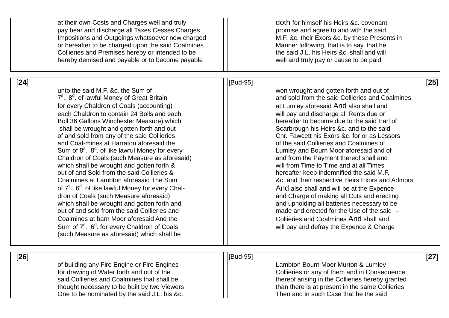|        | at their own Costs and Charges well and truly<br>pay bear and discharge all Taxes Cesses Charges<br>Impositions and Outgoings whatsoever now charged<br>or hereafter to be charged upon the said Coalmines<br>Collieries and Premises hereby or intended to be<br>hereby demised and payable or to become payable                                                                                                                                                                                                                                                                                                                                                                                                                                                                                                                                                                                                                                                                                                              |          | doth for himself his Heirs &c. covenant<br>promise and agree to and with the said<br>M.F. &c. their Exors &c. by these Presents in<br>Manner following, that is to say, that he<br>the said J.L. his Heirs &c. shall and will<br>well and truly pay or cause to be paid                                                                                                                                                                                                                                                                                                                                                                                                                                                                                                                                                                                                           |        |
|--------|--------------------------------------------------------------------------------------------------------------------------------------------------------------------------------------------------------------------------------------------------------------------------------------------------------------------------------------------------------------------------------------------------------------------------------------------------------------------------------------------------------------------------------------------------------------------------------------------------------------------------------------------------------------------------------------------------------------------------------------------------------------------------------------------------------------------------------------------------------------------------------------------------------------------------------------------------------------------------------------------------------------------------------|----------|-----------------------------------------------------------------------------------------------------------------------------------------------------------------------------------------------------------------------------------------------------------------------------------------------------------------------------------------------------------------------------------------------------------------------------------------------------------------------------------------------------------------------------------------------------------------------------------------------------------------------------------------------------------------------------------------------------------------------------------------------------------------------------------------------------------------------------------------------------------------------------------|--------|
| $[24]$ | unto the said M.F. &c. the Sum of<br>7 <sup>s</sup> 8 <sup>d</sup> . of lawful Money of Great Britain<br>for every Chaldron of Coals (accounting)<br>each Chaldron to contain 24 Bolls and each<br>Boll 36 Gallons Winchester Measure) which<br>shall be wrought and gotten forth and out<br>of and sold from any of the said Collieries<br>and Coal-mines at Harraton aforesaid the<br>Sum of $8^{\circ}$ $8^{\circ}$ . of like lawful Money for every<br>Chaldron of Coals (such Measure as aforesaid)<br>which shall be wrought and gotten forth &<br>out of and Sold from the said Collieries &<br>Coalmines at Lambton aforesaid The Sum<br>of 7 <sup>s</sup> 6 <sup>d</sup> . of like lawful Money for every Chal-<br>dron of Coals (such Measure aforesaid)<br>which shall be wrought and gotten forth and<br>out of and sold from the said Collieries and<br>Coalmines at barn Moor aforesaid And the<br>Sum of $7^{\circ}$ 6 <sup>d</sup> . for every Chaldron of Coals<br>(such Measure as aforesaid) which shall be | [Bud-95] | won wrought and gotten forth and out of<br>and sold from the said Collieries and Coalmines<br>at Lumley aforesaid And also shall and<br>will pay and discharge all Rents due or<br>hereafter to become due to the said Earl of<br>Scarbrough his Heirs &c. and to the said<br>Chr. Fawcett his Exors &c. for or as Lessors<br>of the said Collieries and Coalmines of<br>Lumley and Bourn Moor aforesaid and of<br>and from the Payment thereof shall and<br>will from Time to Time and at all Times<br>hereafter keep indemnified the said M.F.<br>&c. and their respective Heirs Exors and Admors<br>And also shall and will be at the Expence<br>and Charge of making all Cuts and erecting<br>and upholding all batteries necessary to be<br>made and erected for the Use of the said -<br>Collieries and Coalmines And shall and<br>will pay and defray the Expence & Charge | [25]   |
| $[26]$ | of building any Fire Engine or Fire Engines<br>for drawing of Water forth and out of the<br>said Collieries and Coalmines that shall be<br>thought necessary to be built by two Viewers<br>One to be nominated by the said J.L. his &c.                                                                                                                                                                                                                                                                                                                                                                                                                                                                                                                                                                                                                                                                                                                                                                                        | [Bud-95] | Lambton Bourn Moor Murton & Lumley<br>Collieries or any of them and in Consequence<br>thereof arising in the Collieries hereby granted<br>than there is at present in the same Collieries<br>Then and in such Case that he the said                                                                                                                                                                                                                                                                                                                                                                                                                                                                                                                                                                                                                                               | $[27]$ |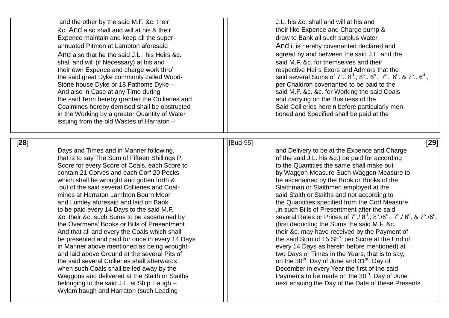&c. And also shall and will at his & their their their their their like Expence and Charge pump & Expence maintain and keep all the super annuated Pitmen at Lambton aforesaid and And it is hereby covenanted declared and And also that he the said J.L. his Heirs  $\&c.$   $\qquad$   $\qquad$   $\qquad$  agreed by and between the said J.L. and the shall and will (if Necessary) at his and said M.F. &c. for themselves and their their own Expence and charge work thro' and the respective Heirs Exors and Admors that the the said great Dyke commonly called Wood Stone house Dyke or 18 Fathoms Dyke And also in Case at any Time during said M.F. &c. &c. for Working the said Coals the said Term hereby granted the Collieries and  $\vert \vert$  and carrying on the Business of the Coalmines hereby demised shall be obstructed in the Working by a greater Quantity of Water  $\vert \vert$  tioned and Specified shall be paid at the issuing from the old Wastes of Harraton –

[**28**

Days and Times and in Manner following, and Delivery to be at the Expence and Charge that is to say The Sum of Fifteen Shillings P.  $\vert \vert$  of the said J.L. his &c.) be paid for according Score for every Score of Coals, each Score to **the Cuantities the same shall make out** contain 21 Corves and each Corf 20 Pecks by Waggon Measure Such Waggon Measure to which shall be wrought and gotten forth & be ascertained by the Book or Books of the out of the said several Collieries and Coal mines at Harraton Lambton Bourn Moor said Staith or Staiths and not according to and Lumley aforesaid and laid on Bank the Quantities specified from the Corf Measure to be paid every 14 Days to the said M.F. **in the said in such Bills of Presentment after the said** &c. their &c. such Sums to be ascertained by the Overmens' Books or Bills of Presentment (first deducting the Sums the said M.F. &c. And that all and every the Coals which shall  $\vert$   $\vert$  their &c. may have received by the Payment of be presented and paid for once in every 14 Days in Manner above mentioned as being wrought every 14 Days as herein before mentioned) at and laid above Ground at the several Pits of  $\vert \vert$  wo Days or Times in the Years, that is to say, the said several Collieries shall afterwards  $\vert\,\vert$  on the 30<sup>th</sup>. Day of June and 31<sup>st</sup>. Day of when such Coals shall be led away by the  $\vert \vert$  December in every Year the first of the said Waggons and delivered at the Staith or Staiths  $||$  Payments to be made on the 30<sup>th</sup>. Day of June belonging to the said J.L. at Ship Haugh Wylam haugh and Harraton (such Leading

and the other by the said M.F. &c. their  $\vert \vert$  J.L. his &c. shall and will at his and draw to Bank all such surplus Water - said several Sums of  $7^{\rm s}$ ..  $8^{\rm d}$ .;  $8^{\rm s}$ ..  $6^{\rm d}$ .;  $7^{\rm s}$ ..  $6^{\rm d}$ . &  $7^{\rm s}$ ..  $6^{\rm d}$ ., – per Chaldron covenanted to be paid to the Said Collieries herein before particularly men-

][Bud [Bud-95]

[**29** ] Staithman or Staithmen employed at the  $7^{\rm s}$  /  $8^{\rm d}$  ;  $8^{\rm s}$  / $6^{\rm d}$  ;  $7^{\rm s}$  /  $6^{\rm d}$  . &  $7^{\rm s}$  / $6^{\rm d}$  . <sup>s</sup>. per Score at the End of – next ensuing the Day of the Date of these Presents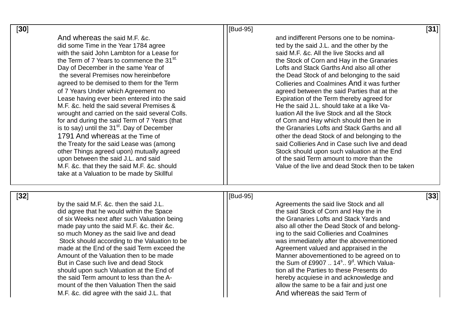| $[30]$ |                                                                                                                                                                                                                                                                                                                                                                                                                                                                                                                                                                                                                                                                                                                                                                                                                                                                             | [Bud-95]                                                                                                                                                                                                                                                                                                                                                                                                                                                                                                                                                                                                                                                                                                                                                                                                                                                            | [31]   |
|--------|-----------------------------------------------------------------------------------------------------------------------------------------------------------------------------------------------------------------------------------------------------------------------------------------------------------------------------------------------------------------------------------------------------------------------------------------------------------------------------------------------------------------------------------------------------------------------------------------------------------------------------------------------------------------------------------------------------------------------------------------------------------------------------------------------------------------------------------------------------------------------------|---------------------------------------------------------------------------------------------------------------------------------------------------------------------------------------------------------------------------------------------------------------------------------------------------------------------------------------------------------------------------------------------------------------------------------------------------------------------------------------------------------------------------------------------------------------------------------------------------------------------------------------------------------------------------------------------------------------------------------------------------------------------------------------------------------------------------------------------------------------------|--------|
|        | And whereas the said M.F. &c.<br>did some Time in the Year 1784 agree<br>with the said John Lambton for a Lease for<br>the Term of 7 Years to commence the 31 <sup>st.</sup><br>Day of December in the same Year of<br>the several Premises now hereinbefore<br>agreed to be demised to them for the Term<br>of 7 Years Under which Agreement no<br>Lease having ever been entered into the said<br>M.F. &c. held the said several Premises &<br>wrought and carried on the said several Colls.<br>for and during the said Term of 7 Years (that<br>is to say) until the 31 <sup>st</sup> . Day of December<br>1791 And whereas at the Time of<br>the Treaty for the said Lease was (among<br>other Things agreed upon) mutually agreed<br>upon between the said J.L. and said<br>M.F. &c. that they the said M.F. &c. should<br>take at a Valuation to be made by Skillful | and indifferent Persons one to be nomina-<br>ted by the said J.L. and the other by the<br>said M.F. &c. All the live Stocks and all<br>the Stock of Corn and Hay in the Granaries<br>Lofts and Stack Garths And also all other<br>the Dead Stock of and belonging to the said<br>Collieries and Coalmines And it was further<br>agreed between the said Parties that at the<br>Expiration of the Term thereby agreed for<br>He the said J.L. should take at a like Va-<br>luation All the live Stock and all the Stock<br>of Corn and Hay which should then be in<br>the Granaries Lofts and Stack Garths and all<br>other the dead Stock of and belonging to the<br>said Collieries And in Case such live and dead<br>Stock should upon such valuation at the End<br>of the said Term amount to more than the<br>Value of the live and dead Stock then to be taken |        |
| $[32]$ | by the said M.F. &c. then the said J.L.<br>did agree that he would within the Space<br>of six Weeks next after such Valuation being<br>made pay unto the said M.F. &c. their &c.<br>so much Money as the said live and dead<br>Stock should according to the Valuation to be<br>made at the End of the said Term exceed the<br>Amount of the Valuation then to be made<br>But in Case such live and dead Stock<br>should upon such Valuation at the End of<br>the said Term amount to less than the A-<br>mount of the then Valuation Then the said                                                                                                                                                                                                                                                                                                                         | [Bud-95]<br>Agreements the said live Stock and all<br>the said Stock of Corn and Hay the in<br>the Granaries Lofts and Stack Yards and<br>also all other the Dead Stock of and belong-<br>ing to the said Collieries and Coalmines<br>was immediately after the abovementioned<br>Agreement valued and appraised in the<br>Manner abovementioned to be agreed on to<br>the Sum of £9907  14 <sup>s</sup> 9 <sup>d</sup> . Which Valua-<br>tion all the Parties to these Presents do<br>hereby acquiese in and acknowledge and<br>allow the same to be a fair and just one                                                                                                                                                                                                                                                                                           | $[33]$ |

mount of the then Valuation Then the said **allow the same to be a fair and just one** and just one M.F. &c. did agree with the said J.L. that And Whereas the said Term of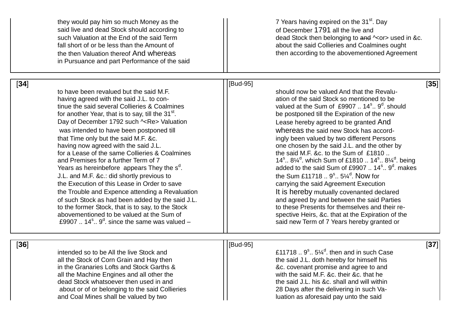|        | they would pay him so much Money as the<br>said live and dead Stock should according to<br>such Valuation at the End of the said Term<br>fall short of or be less than the Amount of<br>the then Valuation thereof And whereas<br>in Pursuance and part Performance of the said                                                                                                                                                                                                                                                                                                                                                                                                                                                                                                                                                                                                               |          | 7 Years having expired on the 31 <sup>st</sup> . Day<br>of December 1791 all the live and<br>dead Stock then belonging to and $\sim$ or > used in &c.<br>about the said Collieries and Coalmines ought<br>then according to the abovementioned Agreement                                                                                                                                                                                                                                                                                                                                                                                                                                                                                                                                                                                                                                                                                                              |        |
|--------|-----------------------------------------------------------------------------------------------------------------------------------------------------------------------------------------------------------------------------------------------------------------------------------------------------------------------------------------------------------------------------------------------------------------------------------------------------------------------------------------------------------------------------------------------------------------------------------------------------------------------------------------------------------------------------------------------------------------------------------------------------------------------------------------------------------------------------------------------------------------------------------------------|----------|-----------------------------------------------------------------------------------------------------------------------------------------------------------------------------------------------------------------------------------------------------------------------------------------------------------------------------------------------------------------------------------------------------------------------------------------------------------------------------------------------------------------------------------------------------------------------------------------------------------------------------------------------------------------------------------------------------------------------------------------------------------------------------------------------------------------------------------------------------------------------------------------------------------------------------------------------------------------------|--------|
| [34]   | to have been revalued but the said M.F.<br>having agreed with the said J.L. to con-<br>tinue the said several Collieries & Coalmines<br>for another Year, that is to say, till the 31 <sup>st</sup> .<br>Day of December 1792 such ~Re> Valuation<br>was intended to have been postponed till<br>that Time only but the said M.F. &c.<br>having now agreed with the said J.L.<br>for a Lease of the same Collieries & Coalmines<br>and Premises for a further Term of 7<br>Years as hereinbefore appears They the s <sup>a</sup> .<br>J.L. and M.F. &c.: did shortly previous to<br>the Execution of this Lease in Order to save<br>the Trouble and Expence attending a Revaluation<br>of such Stock as had been added by the said J.L.<br>to the former Stock, that is to say, to the Stock<br>abovementioned to be valued at the Sum of<br>£9907 $14^s$ . $9^d$ since the same was valued – | [Bud-95] | should now be valued And that the Revalu-<br>ation of the said Stock so mentioned to be<br>valued at the Sum of £9907  14 <sup>s</sup> 9 <sup>d</sup> . should<br>be postponed till the Expiration of the new<br>Lease hereby agreed to be granted And<br>whereas the said new Stock has accord-<br>ingly been valued by two different Persons<br>one chosen by the said J.L. and the other by<br>the said M.F. &c. to the Sum of £1810<br>14 <sup>s</sup> 8 <sup>1/4</sup> which Sum of £1810  14 <sup>s</sup> 8 <sup>1/4</sup> being<br>added to the said Sum of £9907  14 <sup>s</sup> 9 <sup>d</sup> . makes<br>the Sum £11718  9 <sup>s</sup> 5¼ <sup>d</sup> . Now for<br>carrying the said Agreement Execution<br>It is hereby mutually covenanted declared<br>and agreed by and between the said Parties<br>to these Presents for themselves and their re-<br>spective Heirs, &c. that at the Expiration of the<br>said new Term of 7 Years hereby granted or | [35]   |
| $[36]$ | intended so to be All the live Stock and<br>all the Stock of Corn Grain and Hay then<br>in the Granaries Lofts and Stock Garths &<br>all the Machine Engines and all other the<br>dead Stock whatsoever then used in and<br>about or of or belonging to the said Collieries<br>and Coal Mines shall be valued by two                                                                                                                                                                                                                                                                                                                                                                                                                                                                                                                                                                          | [Bud-95] | £11718 $9^{\circ}$ $5\frac{1}{4}^{\circ}$ then and in such Case<br>the said J.L. doth hereby for himself his<br>&c. covenant promise and agree to and<br>with the said M.F. &c. their &c. that he<br>the said J.L. his &c. shall and will within<br>28 Days after the delivering in such Va-<br>luation as aforesaid pay unto the said                                                                                                                                                                                                                                                                                                                                                                                                                                                                                                                                                                                                                                | $[37]$ |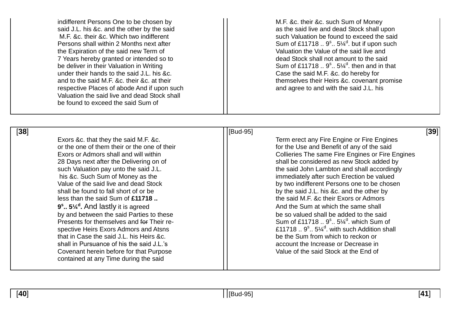indifferent Persons One to be chosen by  $||$  M.F. &c. their &c. such Sum of Money said J.L. his &c. and the other by the said  $\vert \vert$  as the said live and dead Stock shall upon M.F. &c. their &c. Which two indifferent such such Valuation be found to exceed the said Persons shall within 2 Months next after the Expiration of the said new Term of Term of Christian Control and Valuation the Value of the said live and<br>The Vears hereby granted or intended so to the said Christian Christian Christian Christian Christian Christia 7 Years hereby granted or intended so to be deliver in their Valuation in Writing under their hands to the said J.L. his &c. Case the said M.F. &c. do hereby for respective Places of abode And if upon such and agree to and with the said J.L. his Valuation the said live and dead Stock shall be found to exceed the said Sum of

 $1.5\%$ <sup>d</sup>. but if upon such  $1.5\%$ <sup>d</sup>. then and in that and to the said M.F. &c. their &c. at their their the said M.F. &c. their &c. covenant promise

[**38**][Bud-95] [**39**] or the one of them their or the one of their **for the Use and Benefit of any of the said** less than the said Sum of **£11718 ..** the said M.F. &c their Exors or Admors **9 s .. 5¼<sup>d</sup>** by and between the said Parties to these be so valued shall be added to the said Presents for themselves and for Their respective Heirs Exors Admors and Atsns that in Case the said J.L. his Heirs &c. **but all the Sum from which to reckon or** be the Sum from which to reckon or shall in Pursuance of his the said J.L.'s account the Increase or Decrease in Covenant herein before for that Purpose Value of the said Stock at the End of contained at any Time during the said

Exors &c. that they the said M.F. &c. The Superinten Controll of Term erect any Fire Engine or Fire Engines Exors or Admors shall and will within **Exort Collies** Collieries The same Fire Engines or Fire Engines 28 Days next after the Delivering on of shall be considered as new Stock added by such Valuation pay unto the said J.L. **the said John Lambton and shall accordingly** his &c. Such Sum of Money as the immediately after such Erection be valued Value of the said live and dead Stock by two indifferent Persons one to be chosen<br>shall be found to fall short of or be chosen by the said J.L. his &c. and the other by And the Sum at which the same shall  $.5\%$ <sup>d</sup>. which Sum of  $\ldots$  5 $\frac{1}{4}$ <sup>d</sup>. with such Addition shall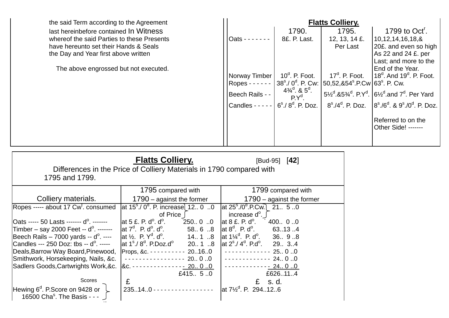the said Term according to the Agreement last hereinbefore contained In Witness whereof the said Parties to these Presents have hereunto set their Hands & Seals the Day and Year first above written

The above engrossed but not executed.

|                   | <b>Flatts Colliery.</b>                          |                             |                                                                                                                   |  |
|-------------------|--------------------------------------------------|-----------------------------|-------------------------------------------------------------------------------------------------------------------|--|
|                   | 1790.                                            | 1795.                       | 1799 to $Octr$ .                                                                                                  |  |
| Oats $- - - - -$  | 8£. P. Last.                                     | 12, 13, 14 £.               | 10,12,14,16,18,&                                                                                                  |  |
|                   |                                                  | Per Last                    | 20£. and even so high                                                                                             |  |
|                   |                                                  |                             | As 22 and 24 £. per                                                                                               |  |
|                   |                                                  |                             | Last; and more to the                                                                                             |  |
|                   | $10^d$ , P. Foot.                                | $17d$ . P. Foot.            | End of the Year.<br>$18d$ . And $19d$ . P. Foot.                                                                  |  |
| Norway Timber     | $38^{\rm s}$ ./ $0^{\rm d}$ . P. Cw:             | 50,52,&54°.P.Cw 63°. P. Cw. |                                                                                                                   |  |
| $Ropes - - - - -$ | $4\frac{3}{4}$ <sup>d</sup> . & 5 <sup>d</sup> . |                             |                                                                                                                   |  |
| Beech Rails - -   | $P Y^d$                                          |                             | 5 <sup>1/2</sup> & 5 <sup>3/4</sup> . P.Y <sup>d</sup> . 6 <sup>1/2</sup> and 7 <sup>d</sup> . Per Yard           |  |
| Candles $- - -$   | $6s$ ./ $8d$ . P. Doz.                           |                             | $8^{\rm s}$ ./4 <sup>d</sup> , P. Doz. $8^{\rm s}$ ./6 <sup>d</sup> , & 9 <sup>s</sup> ./0 <sup>d</sup> , P. Doz. |  |
|                   |                                                  |                             | Referred to on the                                                                                                |  |
|                   |                                                  |                             | Other Side! -------                                                                                               |  |
|                   |                                                  |                             |                                                                                                                   |  |
|                   |                                                  |                             |                                                                                                                   |  |

| Differences in the Price of Colliery Materials in 1790 compared with<br>1795 and 1799. | [Bud-95] $[42]$                                                                          |                                                                           |
|----------------------------------------------------------------------------------------|------------------------------------------------------------------------------------------|---------------------------------------------------------------------------|
|                                                                                        | 1795 compared with                                                                       | 1799 compared with                                                        |
| Colliery materials.                                                                    | $1790 -$ against the former                                                              | 1790 $-$ against the former                                               |
| Ropes ----- about 17 Cw <sup>t</sup> . consumed                                        | $\left[$ at 15 <sup>s</sup> ./0 <sup>d</sup> . P. increase $\left[$ 12 0 0<br>of Price J | at $25^{\circ}$ ./0 <sup>d</sup> .P.Cw. 21. 5.0<br>increase $d^{\circ}$ . |
| Oats ----- 50 Lasts ------- d <sup>o</sup> . -------                                   | 25000<br>at 5 $\pounds$ . P. $d^{\circ}$ . $d^{\circ}$ .                                 | at $8 \text{ } \pounds$ . P. d $^{\circ}$ .<br>400 00                     |
| Timber - say 2000 Feet -- $d^{\circ}$ . -------                                        | $\vert$ at 7 <sup>d</sup> . P. d <sup>o</sup> . d <sup>o</sup> .<br>5868                 | $\det 8^d$ . P. d <sup>o</sup> . 63134                                    |
| Beech Rails $-7000$ yards $- d^{\circ}$ . $- -$                                        | $\text{lat } \frac{1}{2}$ . P. $Y^d$ . d <sup>o</sup> . 14 1 8                           | $\text{lat } 1\frac{1}{4}^d$ . P. d <sup>o</sup> . 36. 9.8                |
| Candles --- 250 Doz: tbs -- d <sup>o</sup> . -----                                     | $\int$ at 1 <sup>s</sup> ./8 <sup>d</sup> . P.Doz.d <sup>o</sup> 20 1 8                  | $\int \text{at } 2^s / 4^d$ . P.d <sup>o</sup> . 29. 3. 4                 |
| Deals, Barrow Way Board, Pinewood,                                                     | Props, &c. - - - - - - - - - 20.16.0                                                     | $------2500$                                                              |
| Smithwork, Horsekeeping, Nails, &c.                                                    | - - - - - - - - - - - - - - - - 20 0 0                                                   | $------24.0.0$                                                            |
| Sadlers Goods, Cartwrights Work, &c.                                                   | 8c. - - - - - - - - - - - - - <u>- 20 0 0</u>                                            | .<br><u>- - 24 0 0</u>                                                    |
|                                                                                        | £415 $5.0$                                                                               | £626.11.4                                                                 |
| Scores                                                                                 | £                                                                                        | £<br>s. d.                                                                |
| Hewing 6 <sup>d</sup> . P.Score on 9428 or<br>16500 Cha <sup>s</sup> . The Basis - - - | 235140 - - - - - - - - - - - - - - - - -                                                 | at 7½ <sup>d</sup> . P. 294126                                            |

 $\sim$   $\sim$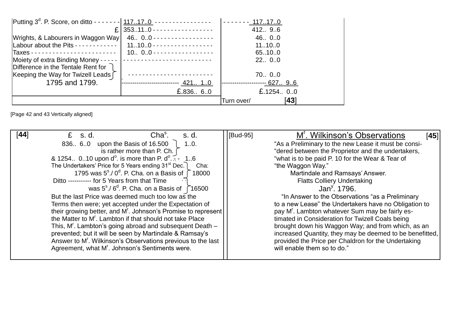| Putting 3 <sup>d</sup> . P. Score, on ditto - - - - - - -   117170 - - - - - - - - - - - - - - - - |                                                                                       |                           |
|----------------------------------------------------------------------------------------------------|---------------------------------------------------------------------------------------|---------------------------|
|                                                                                                    | £ 353110 - - - - - - - - - - - - - - - - -                                            | 412. 9.6                  |
| Wrights, & Labourers in Waggon Way                                                                 | 46. 0.0 - - - - - - - - - - - - - - - - -                                             | 46 00                     |
| Labour about the Pits - - - - - - - - - - -                                                        | $11100$ - - - - - - - - - - - - - - - - - -                                           | 11100                     |
|                                                                                                    | $10 00 \cdot \cdot \cdot \cdot \cdot \cdot \cdot \cdot \cdot \cdot \cdot \cdot \cdot$ | 65100                     |
|                                                                                                    |                                                                                       | 22 00                     |
| Difference in the Tentale Rent for 7                                                               |                                                                                       |                           |
| Keeping the Way for Twizell Leads [                                                                |                                                                                       | 70 00                     |
| 1795 and 1799.                                                                                     |                                                                                       | --------- <u>- 627 96</u> |
|                                                                                                    | £.836 60                                                                              | £.1254 $0.0$              |
|                                                                                                    |                                                                                       | [43]<br>Turn over/        |

[Page 42 and 43 Vertically aligned]

| [44]<br>$Chas$ .<br>$E$ s.d.<br>.s. d.                                            | M'. Wilkinson's Observations<br>[Bud-95]<br>[45]         |
|-----------------------------------------------------------------------------------|----------------------------------------------------------|
| 836. 6.0 upon the Basis of 16.500<br>10.                                          | "As a Preliminary to the new Lease it must be consi-     |
| is rather more than P. Ch. $\int$                                                 | "dered between the Proprietor and the undertakers,       |
| & 1254. 010 upon $d^0$ . is more than P. $d^0$ . $\leq$ - 16                      | "what is to be paid P. 10 for the Wear & Tear of         |
| The Undertakers' Price for 5 Years ending 31 <sup>st</sup> Dec.<br>Cha:           | "the Waggon Way."                                        |
| 1795 was $5^{\circ}$ ./ 0 <sup>d</sup> . P. Cha. on a Basis of $\bigcap$<br>18000 | Martindale and Ramsays' Answer.                          |
| Ditto ----------- for 5 Years from that Time                                      | <b>Flatts Colliery Undertaking</b>                       |
| was $5^{\circ}$ ./ $6^{\circ}$ . P. Cha. on a Basis of 16500                      | Jan <sup>y</sup> , 1796.                                 |
| But the last Price was deemed much too low as the                                 | "In Answer to the Observations "as a Preliminary"        |
| Terms then were; yet accepted under the Expectation of                            | to a new Lease" the Undertakers have no Obligation to    |
| their growing better, and M <sup>r</sup> . Johnson's Promise to represent         | pay M'. Lambton whatever Sum may be fairly es-           |
| the Matter to M'. Lambton if that should not take Place                           | timated in Consideration for Twizell Coals being         |
| This, M'. Lambton's going abroad and subsequent Death –                           | brought down his Waggon Way; and from which, as an       |
| prevented; but it will be seen by Martindale & Ramsay's                           | increased Quantity, they may be deemed to be benefitted, |
| Answer to M'. Wilkinson's Observations previous to the last                       | provided the Price per Chaldron for the Undertaking      |
| Agreement, what M <sup>r</sup> . Johnson's Sentiments were.                       | will enable them so to do."                              |
|                                                                                   |                                                          |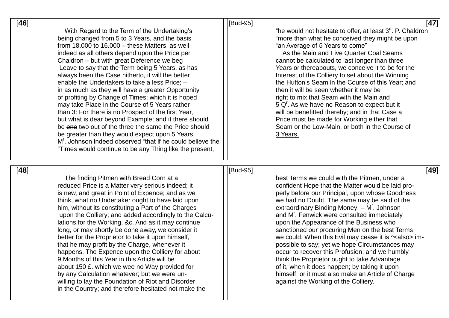| $[46]$                                                                                                                                                                                                                                                                                                                                                                                                                                                                                                                                                                                                                                                                                                                                                                                                                                                                                                                                        | [47]<br>[Bud-95]                                                                                                                                                                                                                                                                                                                                                                                                                                                                                                                                                                                                                                                                                                                                                                                  |
|-----------------------------------------------------------------------------------------------------------------------------------------------------------------------------------------------------------------------------------------------------------------------------------------------------------------------------------------------------------------------------------------------------------------------------------------------------------------------------------------------------------------------------------------------------------------------------------------------------------------------------------------------------------------------------------------------------------------------------------------------------------------------------------------------------------------------------------------------------------------------------------------------------------------------------------------------|---------------------------------------------------------------------------------------------------------------------------------------------------------------------------------------------------------------------------------------------------------------------------------------------------------------------------------------------------------------------------------------------------------------------------------------------------------------------------------------------------------------------------------------------------------------------------------------------------------------------------------------------------------------------------------------------------------------------------------------------------------------------------------------------------|
| With Regard to the Term of the Undertaking's<br>being changed from 5 to 3 Years, and the basis<br>from $18.000$ to $16.000 -$ these Matters, as well<br>indeed as all others depend upon the Price per<br>Chaldron - but with great Deference we beg<br>Leave to say that the Term being 5 Years, as has<br>always been the Case hitherto, it will the better<br>enable the Undertakers to take a less Price; -<br>in as much as they will have a greater Opportunity<br>of profiting by Change of Times; which it is hoped<br>may take Place in the Course of 5 Years rather<br>than 3: For there is no Prospect of the first Year,<br>but what is dear beyond Example; and it there should<br>be one two out of the three the same the Price should<br>be greater than they would expect upon 5 Years.<br>M <sup>'</sup> . Johnson indeed observed "that if he could believe the<br>"Times would continue to be any Thing like the present, | "he would not hesitate to offer, at least 3 <sup>d</sup> . P. Chaldron<br>"more than what he conceived they might be upon<br>"an Average of 5 Years to come"<br>As the Main and Five Quarter Coal Seams<br>cannot be calculated to last longer than three<br>Years or thereabouts, we conceive it to be for the<br>Interest of the Colliery to set about the Winning<br>the Hutton's Seam in the Course of this Year; and<br>then it will be seen whether it may be<br>right to mix that Seam with the Main and<br>5 Q <sup>r</sup> . As we have no Reason to expect but it<br>will be benefitted thereby; and in that Case a<br>Price must be made for Working either that<br>Seam or the Low-Main, or both in the Course of<br>3 Years.                                                         |
| [48]<br>The finding Pitmen with Bread Corn at a<br>reduced Price is a Matter very serious indeed; it<br>is new, and great in Point of Expence; and as we<br>think, what no Undertaker ought to have laid upon<br>him, without its constituting a Part of the Charges<br>upon the Colliery; and added accordingly to the Calcu-<br>lations for the Working, &c. And as it may continue<br>long, or may shortly be done away, we consider it<br>better for the Proprietor to take it upon himself,<br>that he may profit by the Charge, whenever it<br>happens. The Expence upon the Colliery for about<br>9 Months of this Year in this Article will be<br>about 150 £. which we wee no Way provided for<br>by any Calculation whatever; but we were un-<br>willing to lay the Foundation of Riot and Disorder                                                                                                                                 | [49]<br>[Bud-95]<br>best Terms we could with the Pitmen, under a<br>confident Hope that the Matter would be laid pro-<br>perly before our Principal, upon whose Goodness<br>we had no Doubt. The same may be said of the<br>extraordinary Binding Money: $- Mr$ . Johnson<br>and M <sup>r</sup> . Fenwick were consulted immediately<br>upon the Appearance of the Business who<br>sanctioned our procuring Men on the best Terms<br>we could. When this Evil may cease it is $\sim$ also> im-<br>possible to say; yet we hope Circumstances may<br>occur to recover this Profusion; and we humbly<br>think the Proprietor ought to take Advantage<br>of it, when it does happen; by taking it upon<br>himself; or it must also make an Article of Charge<br>against the Working of the Colliery. |

in the Country; and therefore hesitated not make the